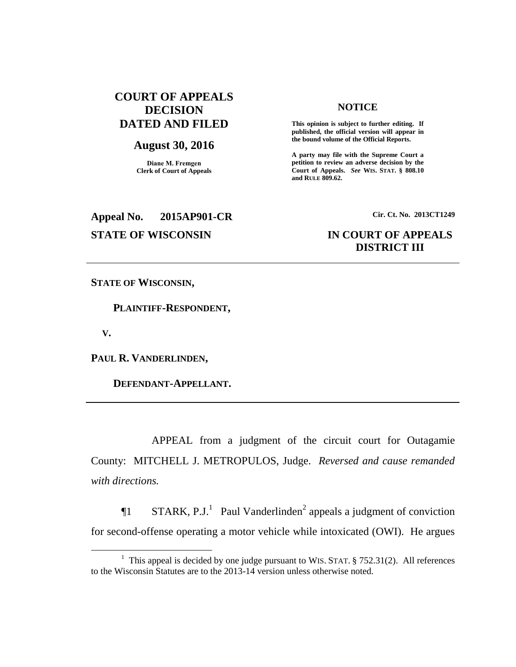# **COURT OF APPEALS DECISION DATED AND FILED**

### **August 30, 2016**

**Diane M. Fremgen Clerk of Court of Appeals**

# **NOTICE**

**This opinion is subject to further editing. If published, the official version will appear in the bound volume of the Official Reports.** 

**A party may file with the Supreme Court a petition to review an adverse decision by the Court of Appeals.** *See* **WIS. STAT. § 808.10 and RULE 809.62.** 

# **Appeal No. 2015AP901-CR Cir. Ct. No. 2013CT1249**

# **STATE OF WISCONSIN IN COURT OF APPEALS DISTRICT III**

**STATE OF WISCONSIN,**

 **PLAINTIFF-RESPONDENT,**

 **V.**

 $\overline{a}$ 

**PAUL R. VANDERLINDEN,**

 **DEFENDANT-APPELLANT.**

APPEAL from a judgment of the circuit court for Outagamie County: MITCHELL J. METROPULOS, Judge. *Reversed and cause remanded with directions.* 

 $\P1$  STARK, P.J.<sup>1</sup> Paul Vanderlinden<sup>2</sup> appeals a judgment of conviction for second-offense operating a motor vehicle while intoxicated (OWI). He argues

<sup>&</sup>lt;sup>1</sup> This appeal is decided by one judge pursuant to WIS. STAT.  $\S$  752.31(2). All references to the Wisconsin Statutes are to the 2013-14 version unless otherwise noted.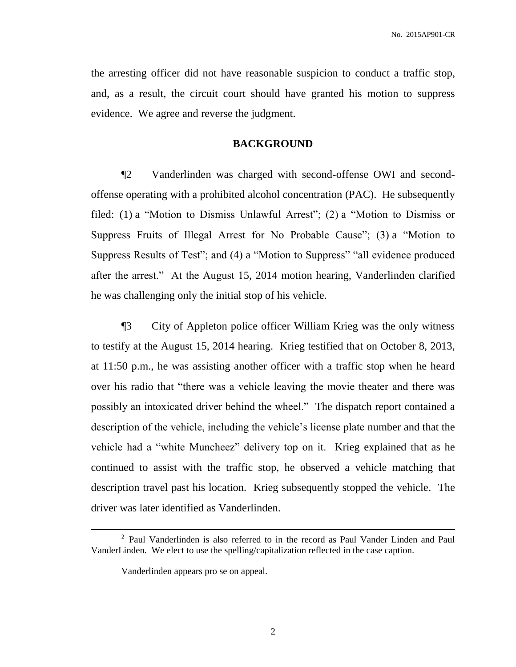the arresting officer did not have reasonable suspicion to conduct a traffic stop, and, as a result, the circuit court should have granted his motion to suppress evidence. We agree and reverse the judgment.

## **BACKGROUND**

¶2 Vanderlinden was charged with second-offense OWI and secondoffense operating with a prohibited alcohol concentration (PAC). He subsequently filed: (1) a "Motion to Dismiss Unlawful Arrest"; (2) a "Motion to Dismiss or Suppress Fruits of Illegal Arrest for No Probable Cause"; (3) a "Motion to Suppress Results of Test"; and (4) a "Motion to Suppress" "all evidence produced after the arrest." At the August 15, 2014 motion hearing, Vanderlinden clarified he was challenging only the initial stop of his vehicle.

¶3 City of Appleton police officer William Krieg was the only witness to testify at the August 15, 2014 hearing. Krieg testified that on October 8, 2013, at 11:50 p.m., he was assisting another officer with a traffic stop when he heard over his radio that "there was a vehicle leaving the movie theater and there was possibly an intoxicated driver behind the wheel." The dispatch report contained a description of the vehicle, including the vehicle's license plate number and that the vehicle had a "white Muncheez" delivery top on it. Krieg explained that as he continued to assist with the traffic stop, he observed a vehicle matching that description travel past his location. Krieg subsequently stopped the vehicle. The driver was later identified as Vanderlinden.

 $\overline{a}$ 

<sup>&</sup>lt;sup>2</sup> Paul Vanderlinden is also referred to in the record as Paul Vander Linden and Paul VanderLinden. We elect to use the spelling/capitalization reflected in the case caption.

Vanderlinden appears pro se on appeal.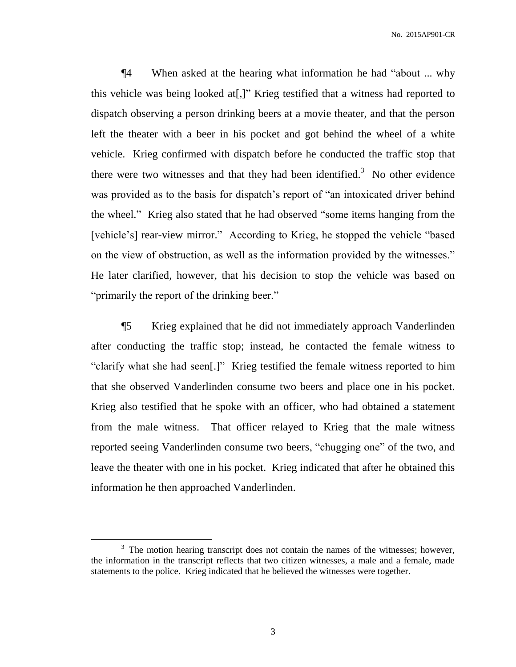¶4 When asked at the hearing what information he had "about ... why this vehicle was being looked at[,]" Krieg testified that a witness had reported to dispatch observing a person drinking beers at a movie theater, and that the person left the theater with a beer in his pocket and got behind the wheel of a white vehicle. Krieg confirmed with dispatch before he conducted the traffic stop that there were two witnesses and that they had been identified.<sup>3</sup> No other evidence was provided as to the basis for dispatch's report of "an intoxicated driver behind the wheel." Krieg also stated that he had observed "some items hanging from the [vehicle's] rear-view mirror." According to Krieg, he stopped the vehicle "based on the view of obstruction, as well as the information provided by the witnesses." He later clarified, however, that his decision to stop the vehicle was based on "primarily the report of the drinking beer."

¶5 Krieg explained that he did not immediately approach Vanderlinden after conducting the traffic stop; instead, he contacted the female witness to "clarify what she had seen[.]" Krieg testified the female witness reported to him that she observed Vanderlinden consume two beers and place one in his pocket. Krieg also testified that he spoke with an officer, who had obtained a statement from the male witness. That officer relayed to Krieg that the male witness reported seeing Vanderlinden consume two beers, "chugging one" of the two, and leave the theater with one in his pocket. Krieg indicated that after he obtained this information he then approached Vanderlinden.

 $\overline{a}$ 

<sup>&</sup>lt;sup>3</sup> The motion hearing transcript does not contain the names of the witnesses; however, the information in the transcript reflects that two citizen witnesses, a male and a female, made statements to the police. Krieg indicated that he believed the witnesses were together.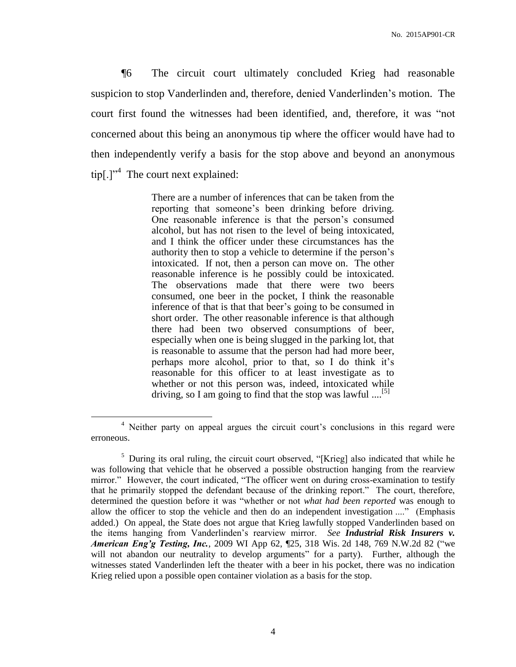¶6 The circuit court ultimately concluded Krieg had reasonable suspicion to stop Vanderlinden and, therefore, denied Vanderlinden's motion. The court first found the witnesses had been identified, and, therefore, it was "not concerned about this being an anonymous tip where the officer would have had to then independently verify a basis for the stop above and beyond an anonymous  $\text{tip}[\cdot]$ <sup>24</sup> The court next explained:

> There are a number of inferences that can be taken from the reporting that someone's been drinking before driving. One reasonable inference is that the person's consumed alcohol, but has not risen to the level of being intoxicated, and I think the officer under these circumstances has the authority then to stop a vehicle to determine if the person's intoxicated. If not, then a person can move on. The other reasonable inference is he possibly could be intoxicated. The observations made that there were two beers consumed, one beer in the pocket, I think the reasonable inference of that is that that beer's going to be consumed in short order. The other reasonable inference is that although there had been two observed consumptions of beer, especially when one is being slugged in the parking lot, that is reasonable to assume that the person had had more beer, perhaps more alcohol, prior to that, so I do think it's reasonable for this officer to at least investigate as to whether or not this person was, indeed, intoxicated while driving, so I am going to find that the stop was lawful .... $^{[5]}$

 $\overline{a}$ 

<sup>&</sup>lt;sup>4</sup> Neither party on appeal argues the circuit court's conclusions in this regard were erroneous.

<sup>&</sup>lt;sup>5</sup> During its oral ruling, the circuit court observed, "[Krieg] also indicated that while he was following that vehicle that he observed a possible obstruction hanging from the rearview mirror." However, the court indicated, "The officer went on during cross-examination to testify that he primarily stopped the defendant because of the drinking report." The court, therefore, determined the question before it was "whether or not *what had been reported* was enough to allow the officer to stop the vehicle and then do an independent investigation ...." (Emphasis added.) On appeal, the State does not argue that Krieg lawfully stopped Vanderlinden based on the items hanging from Vanderlinden's rearview mirror. *See Industrial Risk Insurers v. American Eng'g Testing, Inc.*, 2009 WI App 62, ¶25, 318 Wis. 2d 148, 769 N.W.2d 82 ("we will not abandon our neutrality to develop arguments" for a party). Further, although the witnesses stated Vanderlinden left the theater with a beer in his pocket, there was no indication Krieg relied upon a possible open container violation as a basis for the stop.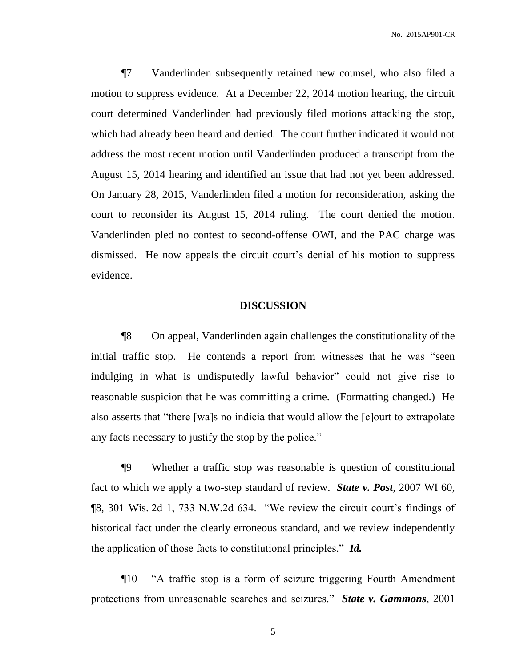¶7 Vanderlinden subsequently retained new counsel, who also filed a motion to suppress evidence. At a December 22, 2014 motion hearing, the circuit court determined Vanderlinden had previously filed motions attacking the stop, which had already been heard and denied. The court further indicated it would not address the most recent motion until Vanderlinden produced a transcript from the August 15, 2014 hearing and identified an issue that had not yet been addressed. On January 28, 2015, Vanderlinden filed a motion for reconsideration, asking the court to reconsider its August 15, 2014 ruling. The court denied the motion. Vanderlinden pled no contest to second-offense OWI, and the PAC charge was dismissed. He now appeals the circuit court's denial of his motion to suppress evidence.

## **DISCUSSION**

¶8 On appeal, Vanderlinden again challenges the constitutionality of the initial traffic stop. He contends a report from witnesses that he was "seen indulging in what is undisputedly lawful behavior" could not give rise to reasonable suspicion that he was committing a crime. (Formatting changed.) He also asserts that "there [wa]s no indicia that would allow the [c]ourt to extrapolate any facts necessary to justify the stop by the police."

¶9 Whether a traffic stop was reasonable is question of constitutional fact to which we apply a two-step standard of review. *State v. Post*, 2007 WI 60, ¶8, 301 Wis. 2d 1, 733 N.W.2d 634. "We review the circuit court's findings of historical fact under the clearly erroneous standard, and we review independently the application of those facts to constitutional principles." *Id.*

¶10 "A traffic stop is a form of seizure triggering Fourth Amendment protections from unreasonable searches and seizures." *State v. Gammons*, 2001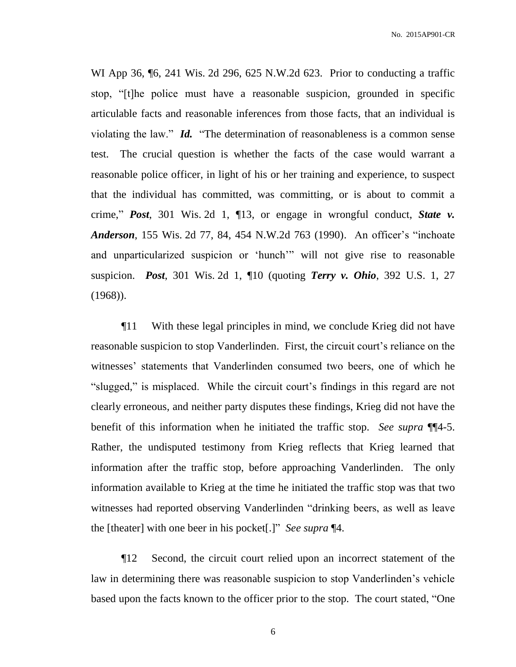WI App 36, ¶6, 241 Wis. 2d 296, 625 N.W.2d 623. Prior to conducting a traffic stop, "[t]he police must have a reasonable suspicion, grounded in specific articulable facts and reasonable inferences from those facts, that an individual is violating the law." *Id.* "The determination of reasonableness is a common sense test. The crucial question is whether the facts of the case would warrant a reasonable police officer, in light of his or her training and experience, to suspect that the individual has committed, was committing, or is about to commit a crime," *Post*, 301 Wis. 2d 1, ¶13, or engage in wrongful conduct, *State v. Anderson*, 155 Wis. 2d 77, 84, 454 N.W.2d 763 (1990). An officer's "inchoate and unparticularized suspicion or 'hunch'" will not give rise to reasonable suspicion. *Post*, 301 Wis. 2d 1, ¶10 (quoting *Terry v. Ohio*, 392 U.S. 1, 27 (1968)).

¶11 With these legal principles in mind, we conclude Krieg did not have reasonable suspicion to stop Vanderlinden. First, the circuit court's reliance on the witnesses' statements that Vanderlinden consumed two beers, one of which he "slugged," is misplaced. While the circuit court's findings in this regard are not clearly erroneous, and neither party disputes these findings, Krieg did not have the benefit of this information when he initiated the traffic stop. *See supra* ¶¶4-5. Rather, the undisputed testimony from Krieg reflects that Krieg learned that information after the traffic stop, before approaching Vanderlinden. The only information available to Krieg at the time he initiated the traffic stop was that two witnesses had reported observing Vanderlinden "drinking beers, as well as leave the [theater] with one beer in his pocket[.]" *See supra* ¶4.

¶12 Second, the circuit court relied upon an incorrect statement of the law in determining there was reasonable suspicion to stop Vanderlinden's vehicle based upon the facts known to the officer prior to the stop. The court stated, "One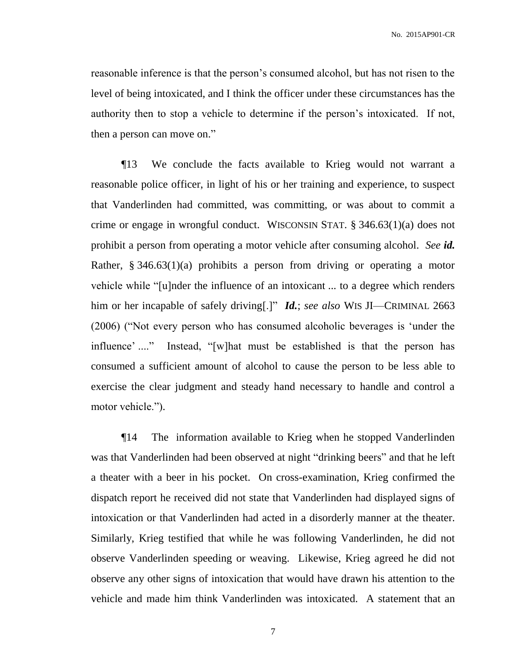reasonable inference is that the person's consumed alcohol, but has not risen to the level of being intoxicated, and I think the officer under these circumstances has the authority then to stop a vehicle to determine if the person's intoxicated. If not, then a person can move on."

¶13 We conclude the facts available to Krieg would not warrant a reasonable police officer, in light of his or her training and experience, to suspect that Vanderlinden had committed, was committing, or was about to commit a crime or engage in wrongful conduct. WISCONSIN STAT. § 346.63(1)(a) does not prohibit a person from operating a motor vehicle after consuming alcohol. *See id.* Rather, § 346.63(1)(a) prohibits a person from driving or operating a motor vehicle while "[u]nder the influence of an intoxicant ... to a degree which renders him or her incapable of safely driving[.]" *Id.*; *see also* WIS JI—CRIMINAL 2663 (2006) ("Not every person who has consumed alcoholic beverages is 'under the influence' ...." Instead, "[w]hat must be established is that the person has consumed a sufficient amount of alcohol to cause the person to be less able to exercise the clear judgment and steady hand necessary to handle and control a motor vehicle.").

¶14 The information available to Krieg when he stopped Vanderlinden was that Vanderlinden had been observed at night "drinking beers" and that he left a theater with a beer in his pocket. On cross-examination, Krieg confirmed the dispatch report he received did not state that Vanderlinden had displayed signs of intoxication or that Vanderlinden had acted in a disorderly manner at the theater. Similarly, Krieg testified that while he was following Vanderlinden, he did not observe Vanderlinden speeding or weaving. Likewise, Krieg agreed he did not observe any other signs of intoxication that would have drawn his attention to the vehicle and made him think Vanderlinden was intoxicated. A statement that an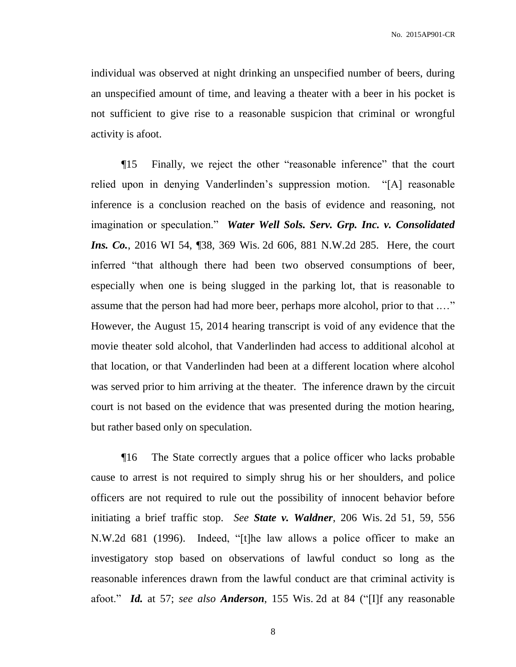individual was observed at night drinking an unspecified number of beers, during an unspecified amount of time, and leaving a theater with a beer in his pocket is not sufficient to give rise to a reasonable suspicion that criminal or wrongful activity is afoot.

¶15 Finally, we reject the other "reasonable inference" that the court relied upon in denying Vanderlinden's suppression motion. "[A] reasonable inference is a conclusion reached on the basis of evidence and reasoning, not imagination or speculation." *Water Well Sols. Serv. Grp. Inc. v. Consolidated Ins. Co.*, 2016 WI 54, [38, 369 Wis. 2d 606, 881 N.W.2d 285. Here, the court inferred "that although there had been two observed consumptions of beer, especially when one is being slugged in the parking lot, that is reasonable to assume that the person had had more beer, perhaps more alcohol, prior to that .…" However, the August 15, 2014 hearing transcript is void of any evidence that the movie theater sold alcohol, that Vanderlinden had access to additional alcohol at that location, or that Vanderlinden had been at a different location where alcohol was served prior to him arriving at the theater. The inference drawn by the circuit court is not based on the evidence that was presented during the motion hearing, but rather based only on speculation.

¶16 The State correctly argues that a police officer who lacks probable cause to arrest is not required to simply shrug his or her shoulders, and police officers are not required to rule out the possibility of innocent behavior before initiating a brief traffic stop. *See State v. Waldner*, 206 Wis. 2d 51, 59, 556 N.W.2d 681 (1996). Indeed, "[t]he law allows a police officer to make an investigatory stop based on observations of lawful conduct so long as the reasonable inferences drawn from the lawful conduct are that criminal activity is afoot." *Id.* at 57; *see also Anderson*, 155 Wis. 2d at 84 ("[I]f any reasonable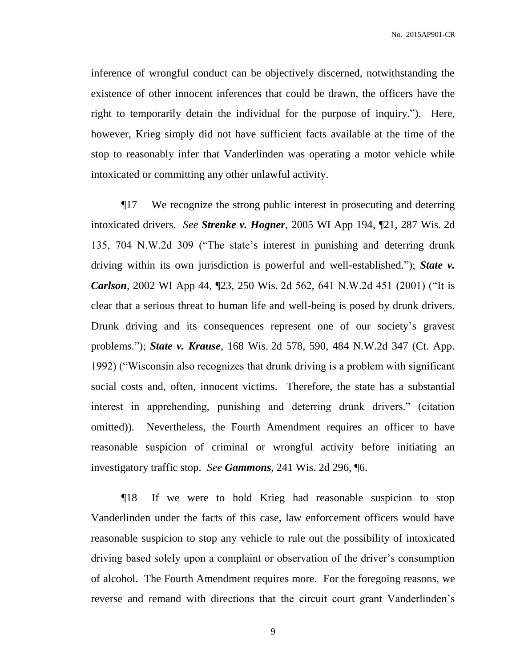inference of wrongful conduct can be objectively discerned, notwithstanding the existence of other innocent inferences that could be drawn, the officers have the right to temporarily detain the individual for the purpose of inquiry."). Here, however, Krieg simply did not have sufficient facts available at the time of the stop to reasonably infer that Vanderlinden was operating a motor vehicle while intoxicated or committing any other unlawful activity.

¶17 We recognize the strong public interest in prosecuting and deterring intoxicated drivers. *See Strenke v. Hogner*, 2005 WI App 194, ¶21, 287 Wis. 2d 135, 704 N.W.2d 309 ("The state's interest in punishing and deterring drunk driving within its own jurisdiction is powerful and well-established."); *State v. Carlson*, 2002 WI App 44, ¶23, 250 Wis. 2d 562, 641 N.W.2d 451 (2001) ("It is clear that a serious threat to human life and well-being is posed by drunk drivers. Drunk driving and its consequences represent one of our society's gravest problems."); *State v. Krause*, 168 Wis. 2d 578, 590, 484 N.W.2d 347 (Ct. App. 1992) ("Wisconsin also recognizes that drunk driving is a problem with significant social costs and, often, innocent victims. Therefore, the state has a substantial interest in apprehending, punishing and deterring drunk drivers." (citation omitted)). Nevertheless, the Fourth Amendment requires an officer to have reasonable suspicion of criminal or wrongful activity before initiating an investigatory traffic stop. *See Gammons*, 241 Wis. 2d 296, ¶6.

¶18 If we were to hold Krieg had reasonable suspicion to stop Vanderlinden under the facts of this case, law enforcement officers would have reasonable suspicion to stop any vehicle to rule out the possibility of intoxicated driving based solely upon a complaint or observation of the driver's consumption of alcohol. The Fourth Amendment requires more. For the foregoing reasons, we reverse and remand with directions that the circuit court grant Vanderlinden's